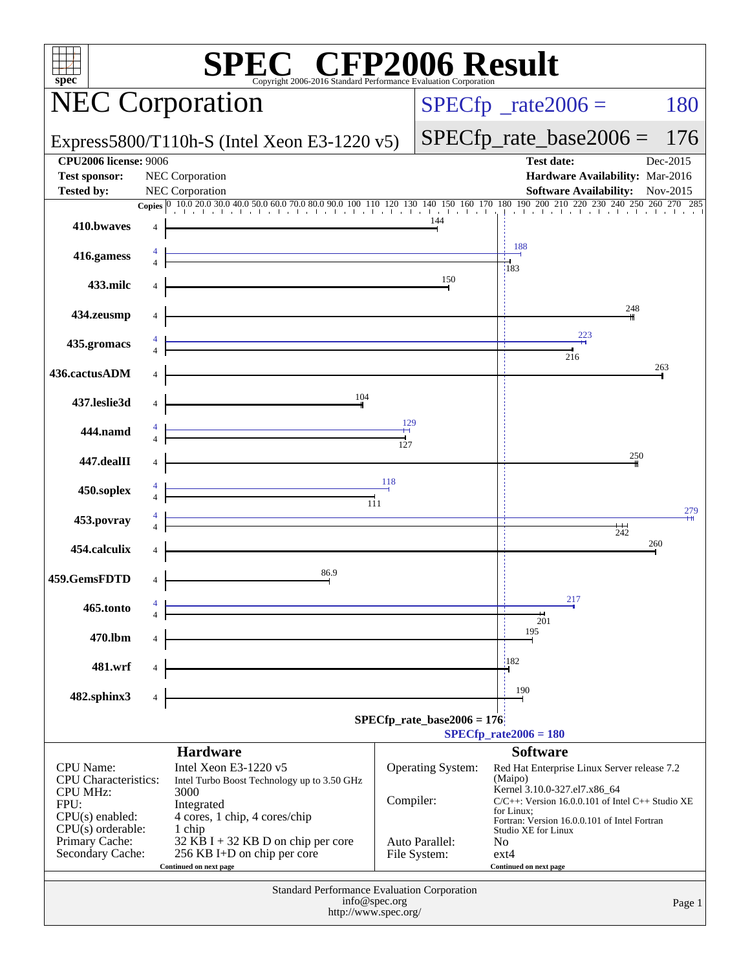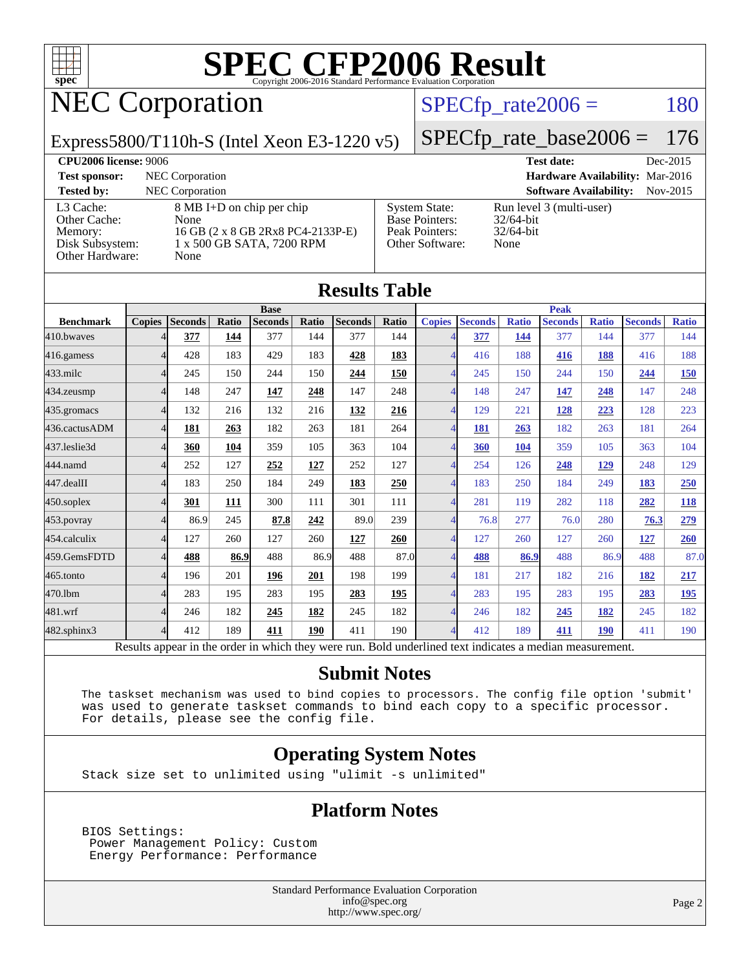

## NEC Corporation

#### $SPECTp\_rate2006 = 180$

#### Express5800/T110h-S (Intel Xeon E3-1220 v5)

## [SPECfp\\_rate\\_base2006 =](http://www.spec.org/auto/cpu2006/Docs/result-fields.html#SPECfpratebase2006) 176

**[CPU2006 license:](http://www.spec.org/auto/cpu2006/Docs/result-fields.html#CPU2006license)** 9006 **[Test date:](http://www.spec.org/auto/cpu2006/Docs/result-fields.html#Testdate)** Dec-2015 **[Test sponsor:](http://www.spec.org/auto/cpu2006/Docs/result-fields.html#Testsponsor)** NEC Corporation **[Hardware Availability:](http://www.spec.org/auto/cpu2006/Docs/result-fields.html#HardwareAvailability)** Mar-2016 **[Tested by:](http://www.spec.org/auto/cpu2006/Docs/result-fields.html#Testedby)** NEC Corporation **[Software Availability:](http://www.spec.org/auto/cpu2006/Docs/result-fields.html#SoftwareAvailability)** Nov-2015 [L3 Cache:](http://www.spec.org/auto/cpu2006/Docs/result-fields.html#L3Cache) 8 MB I+D on chip per chip [Other Cache:](http://www.spec.org/auto/cpu2006/Docs/result-fields.html#OtherCache) [Memory:](http://www.spec.org/auto/cpu2006/Docs/result-fields.html#Memory) 16 GB (2 x 8 GB 2Rx8 PC4-2133P-E) [Disk Subsystem:](http://www.spec.org/auto/cpu2006/Docs/result-fields.html#DiskSubsystem) 1 x 500 GB SATA, 7200 RPM [Other Hardware:](http://www.spec.org/auto/cpu2006/Docs/result-fields.html#OtherHardware) None [System State:](http://www.spec.org/auto/cpu2006/Docs/result-fields.html#SystemState) Run level 3 (multi-user)<br>Base Pointers: 32/64-bit [Base Pointers:](http://www.spec.org/auto/cpu2006/Docs/result-fields.html#BasePointers) [Peak Pointers:](http://www.spec.org/auto/cpu2006/Docs/result-fields.html#PeakPointers) 32/64-bit [Other Software:](http://www.spec.org/auto/cpu2006/Docs/result-fields.html#OtherSoftware) None

|                   |                |                                                                                                          |       |                |       | <b>Results Table</b> |              |                          |                |              |                |              |                |              |
|-------------------|----------------|----------------------------------------------------------------------------------------------------------|-------|----------------|-------|----------------------|--------------|--------------------------|----------------|--------------|----------------|--------------|----------------|--------------|
|                   |                |                                                                                                          |       | <b>Base</b>    |       |                      | <b>Peak</b>  |                          |                |              |                |              |                |              |
| <b>Benchmark</b>  | <b>Copies</b>  | <b>Seconds</b>                                                                                           | Ratio | <b>Seconds</b> | Ratio | <b>Seconds</b>       | <b>Ratio</b> | <b>Copies</b>            | <b>Seconds</b> | <b>Ratio</b> | <b>Seconds</b> | <b>Ratio</b> | <b>Seconds</b> | <b>Ratio</b> |
| 410.bwayes        | 4              | 377                                                                                                      | 144   | 377            | 144   | 377                  | 144          |                          | 377            | 144          | 377            | 144          | 377            | 144          |
| 416.gamess        | $\overline{4}$ | 428                                                                                                      | 183   | 429            | 183   | 428                  | 183          | $\Delta$                 | 416            | 188          | 416            | 188          | 416            | 188          |
| 433.milc          | 4              | 245                                                                                                      | 150   | 244            | 150   | 244                  | 150          | 4                        | 245            | 150          | 244            | 150          | 244            | 150          |
| 434.zeusmp        | 4              | 148                                                                                                      | 247   | 147            | 248   | 147                  | 248          |                          | 148            | 247          | 147            | 248          | 147            | 248          |
| 435.gromacs       | $\overline{4}$ | 132                                                                                                      | 216   | 132            | 216   | 132                  | 216          | $\Delta$                 | 129            | 221          | 128            | 223          | 128            | 223          |
| 436.cactusADM     | 4              | 181                                                                                                      | 263   | 182            | 263   | 181                  | 264          | $\overline{4}$           | 181            | 263          | 182            | 263          | 181            | 264          |
| 437.leslie3d      | 4              | 360                                                                                                      | 104   | 359            | 105   | 363                  | 104          | $\overline{\mathcal{A}}$ | 360            | 104          | 359            | 105          | 363            | 104          |
| 444.namd          | 4              | 252                                                                                                      | 127   | 252            | 127   | 252                  | 127          | Δ                        | 254            | 126          | 248            | <u>129</u>   | 248            | 129          |
| 447.dealII        | $\overline{4}$ | 183                                                                                                      | 250   | 184            | 249   | 183                  | 250          | $\overline{\mathcal{A}}$ | 183            | 250          | 184            | 249          | 183            | 250          |
| $450$ .soplex     | 4              | 301                                                                                                      | 111   | 300            | 111   | 301                  | 111          | 4                        | 281            | 119          | 282            | 118          | 282            | 118          |
| 453.povray        | 4              | 86.9                                                                                                     | 245   | 87.8           | 242   | 89.0                 | 239          | 4                        | 76.8           | 277          | 76.0           | 280          | 76.3           | 279          |
| 454.calculix      | $\overline{4}$ | 127                                                                                                      | 260   | 127            | 260   | 127                  | 260          | $\overline{\mathcal{A}}$ | 127            | 260          | 127            | 260          | 127            | 260          |
| 459.GemsFDTD      | 4              | 488                                                                                                      | 86.9  | 488            | 86.9  | 488                  | 87.0         | $\overline{4}$           | 488            | 86.9         | 488            | 86.9         | 488            | 87.0         |
| 465.tonto         | 4              | 196                                                                                                      | 201   | 196            | 201   | 198                  | 199          | $\overline{\mathcal{A}}$ | 181            | 217          | 182            | 216          | 182            | 217          |
| 470.1bm           | 4              | 283                                                                                                      | 195   | 283            | 195   | 283                  | 195          | $\Delta$                 | 283            | 195          | 283            | 195          | 283            | <u>195</u>   |
| 481.wrf           | 4              | 246                                                                                                      | 182   | 245            | 182   | 245                  | 182          |                          | 246            | 182          | 245            | 182          | 245            | 182          |
| $482$ .sphinx $3$ | 4              | 412                                                                                                      | 189   | 411            | 190   | 411                  | 190          | Δ                        | 412            | 189          | 411            | 190          | 411            | 190          |
|                   |                | Results appear in the order in which they were run. Bold underlined text indicates a median measurement. |       |                |       |                      |              |                          |                |              |                |              |                |              |

#### **[Submit Notes](http://www.spec.org/auto/cpu2006/Docs/result-fields.html#SubmitNotes)**

 The taskset mechanism was used to bind copies to processors. The config file option 'submit' was used to generate taskset commands to bind each copy to a specific processor. For details, please see the config file.

#### **[Operating System Notes](http://www.spec.org/auto/cpu2006/Docs/result-fields.html#OperatingSystemNotes)**

Stack size set to unlimited using "ulimit -s unlimited"

#### **[Platform Notes](http://www.spec.org/auto/cpu2006/Docs/result-fields.html#PlatformNotes)**

 BIOS Settings: Power Management Policy: Custom Energy Performance: Performance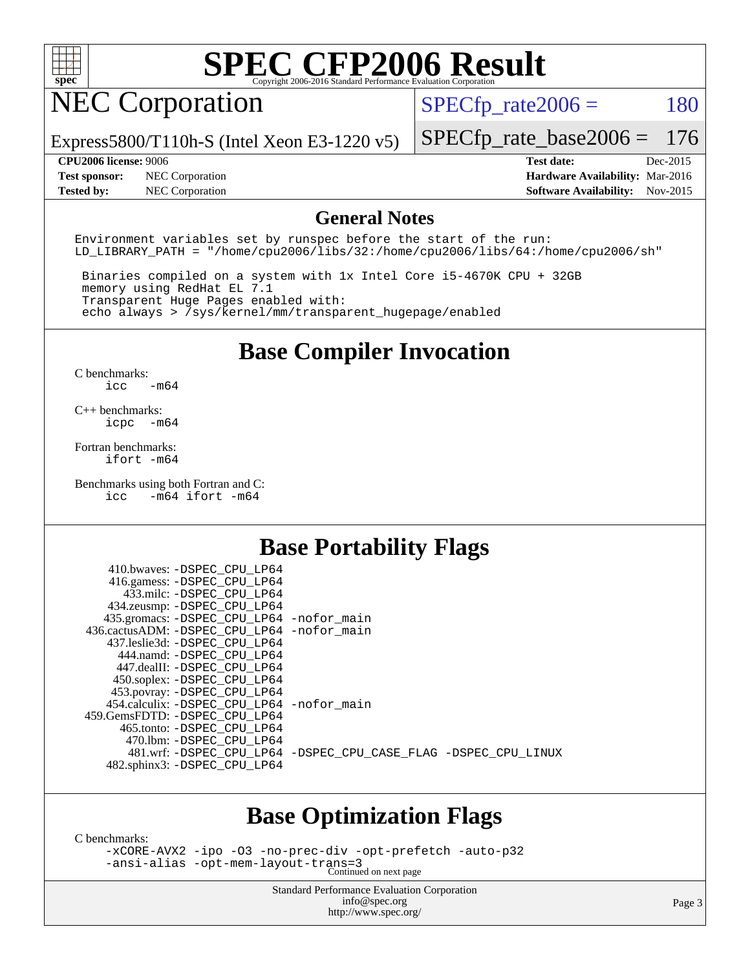

## NEC Corporation

 $SPECTp_rate2006 = 180$ 

Express5800/T110h-S (Intel Xeon E3-1220 v5)

**[Tested by:](http://www.spec.org/auto/cpu2006/Docs/result-fields.html#Testedby)** NEC Corporation **[Software Availability:](http://www.spec.org/auto/cpu2006/Docs/result-fields.html#SoftwareAvailability)** Nov-2015

**[CPU2006 license:](http://www.spec.org/auto/cpu2006/Docs/result-fields.html#CPU2006license)** 9006 **[Test date:](http://www.spec.org/auto/cpu2006/Docs/result-fields.html#Testdate)** Dec-2015 **[Test sponsor:](http://www.spec.org/auto/cpu2006/Docs/result-fields.html#Testsponsor)** NEC Corporation **[Hardware Availability:](http://www.spec.org/auto/cpu2006/Docs/result-fields.html#HardwareAvailability)** Mar-2016

[SPECfp\\_rate\\_base2006 =](http://www.spec.org/auto/cpu2006/Docs/result-fields.html#SPECfpratebase2006) 176

#### **[General Notes](http://www.spec.org/auto/cpu2006/Docs/result-fields.html#GeneralNotes)**

Environment variables set by runspec before the start of the run: LD LIBRARY PATH = "/home/cpu2006/libs/32:/home/cpu2006/libs/64:/home/cpu2006/sh"

 Binaries compiled on a system with 1x Intel Core i5-4670K CPU + 32GB memory using RedHat EL 7.1 Transparent Huge Pages enabled with: echo always > /sys/kernel/mm/transparent\_hugepage/enabled

### **[Base Compiler Invocation](http://www.spec.org/auto/cpu2006/Docs/result-fields.html#BaseCompilerInvocation)**

[C benchmarks](http://www.spec.org/auto/cpu2006/Docs/result-fields.html#Cbenchmarks): [icc -m64](http://www.spec.org/cpu2006/results/res2016q1/cpu2006-20160125-38927.flags.html#user_CCbase_intel_icc_64bit_0b7121f5ab7cfabee23d88897260401c)

[C++ benchmarks:](http://www.spec.org/auto/cpu2006/Docs/result-fields.html#CXXbenchmarks) [icpc -m64](http://www.spec.org/cpu2006/results/res2016q1/cpu2006-20160125-38927.flags.html#user_CXXbase_intel_icpc_64bit_bedb90c1146cab66620883ef4f41a67e)

[Fortran benchmarks](http://www.spec.org/auto/cpu2006/Docs/result-fields.html#Fortranbenchmarks): [ifort -m64](http://www.spec.org/cpu2006/results/res2016q1/cpu2006-20160125-38927.flags.html#user_FCbase_intel_ifort_64bit_ee9d0fb25645d0210d97eb0527dcc06e)

[Benchmarks using both Fortran and C](http://www.spec.org/auto/cpu2006/Docs/result-fields.html#BenchmarksusingbothFortranandC): [icc -m64](http://www.spec.org/cpu2006/results/res2016q1/cpu2006-20160125-38927.flags.html#user_CC_FCbase_intel_icc_64bit_0b7121f5ab7cfabee23d88897260401c) [ifort -m64](http://www.spec.org/cpu2006/results/res2016q1/cpu2006-20160125-38927.flags.html#user_CC_FCbase_intel_ifort_64bit_ee9d0fb25645d0210d97eb0527dcc06e)

### **[Base Portability Flags](http://www.spec.org/auto/cpu2006/Docs/result-fields.html#BasePortabilityFlags)**

| 410.bwaves: -DSPEC CPU LP64<br>416.gamess: -DSPEC_CPU_LP64 |                                                                |
|------------------------------------------------------------|----------------------------------------------------------------|
| 433.milc: -DSPEC CPU LP64                                  |                                                                |
| 434.zeusmp: -DSPEC_CPU_LP64                                |                                                                |
| 435.gromacs: -DSPEC_CPU_LP64 -nofor_main                   |                                                                |
| 436.cactusADM: -DSPEC CPU LP64 -nofor main                 |                                                                |
| 437.leslie3d: -DSPEC CPU LP64                              |                                                                |
| 444.namd: - DSPEC CPU LP64                                 |                                                                |
| 447.dealII: -DSPEC_CPU_LP64                                |                                                                |
| 450.soplex: -DSPEC_CPU_LP64                                |                                                                |
| 453.povray: -DSPEC_CPU_LP64                                |                                                                |
| 454.calculix: -DSPEC_CPU_LP64 -nofor_main                  |                                                                |
| 459. GemsFDTD: - DSPEC CPU LP64                            |                                                                |
| 465.tonto: - DSPEC CPU LP64                                |                                                                |
| 470.1bm: - DSPEC CPU LP64                                  |                                                                |
|                                                            | 481.wrf: -DSPEC CPU_LP64 -DSPEC_CPU_CASE_FLAG -DSPEC_CPU_LINUX |
| 482.sphinx3: -DSPEC_CPU_LP64                               |                                                                |
|                                                            |                                                                |

### **[Base Optimization Flags](http://www.spec.org/auto/cpu2006/Docs/result-fields.html#BaseOptimizationFlags)**

[C benchmarks](http://www.spec.org/auto/cpu2006/Docs/result-fields.html#Cbenchmarks):

[-xCORE-AVX2](http://www.spec.org/cpu2006/results/res2016q1/cpu2006-20160125-38927.flags.html#user_CCbase_f-xAVX2_5f5fc0cbe2c9f62c816d3e45806c70d7) [-ipo](http://www.spec.org/cpu2006/results/res2016q1/cpu2006-20160125-38927.flags.html#user_CCbase_f-ipo) [-O3](http://www.spec.org/cpu2006/results/res2016q1/cpu2006-20160125-38927.flags.html#user_CCbase_f-O3) [-no-prec-div](http://www.spec.org/cpu2006/results/res2016q1/cpu2006-20160125-38927.flags.html#user_CCbase_f-no-prec-div) [-opt-prefetch](http://www.spec.org/cpu2006/results/res2016q1/cpu2006-20160125-38927.flags.html#user_CCbase_f-opt-prefetch) [-auto-p32](http://www.spec.org/cpu2006/results/res2016q1/cpu2006-20160125-38927.flags.html#user_CCbase_f-auto-p32) [-ansi-alias](http://www.spec.org/cpu2006/results/res2016q1/cpu2006-20160125-38927.flags.html#user_CCbase_f-ansi-alias) [-opt-mem-layout-trans=3](http://www.spec.org/cpu2006/results/res2016q1/cpu2006-20160125-38927.flags.html#user_CCbase_f-opt-mem-layout-trans_a7b82ad4bd7abf52556d4961a2ae94d5) Continued on next page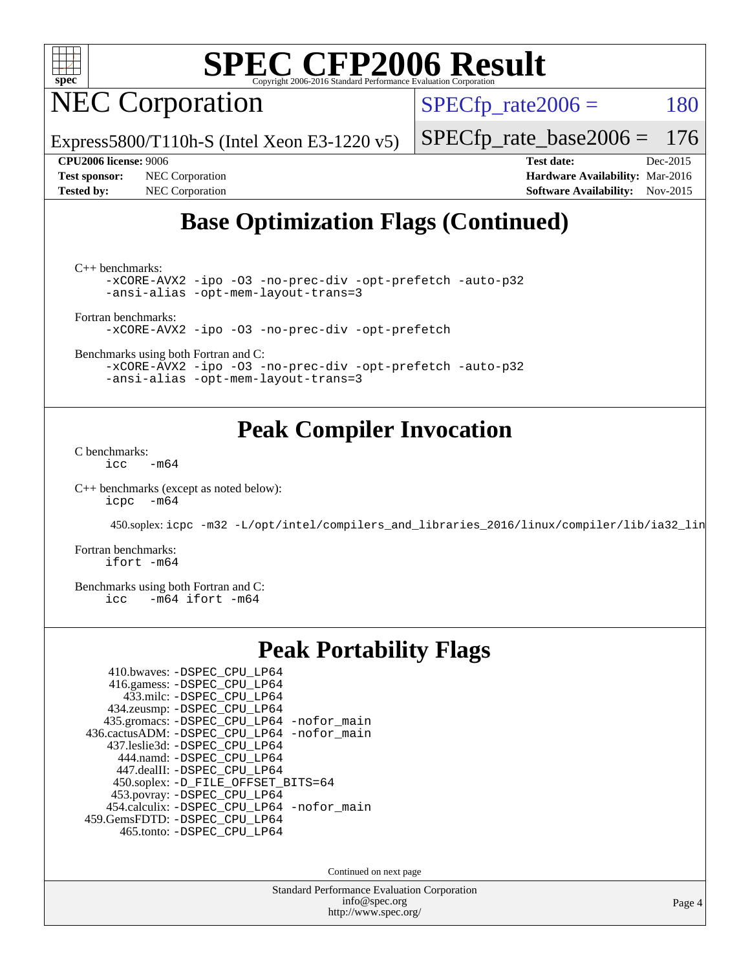

NEC Corporation

 $SPECTp_rate2006 = 180$ 

Express5800/T110h-S (Intel Xeon E3-1220 v5)

[SPECfp\\_rate\\_base2006 =](http://www.spec.org/auto/cpu2006/Docs/result-fields.html#SPECfpratebase2006) 176

**[Test sponsor:](http://www.spec.org/auto/cpu2006/Docs/result-fields.html#Testsponsor)** NEC Corporation **[Hardware Availability:](http://www.spec.org/auto/cpu2006/Docs/result-fields.html#HardwareAvailability)** Mar-2016

**[CPU2006 license:](http://www.spec.org/auto/cpu2006/Docs/result-fields.html#CPU2006license)** 9006 **[Test date:](http://www.spec.org/auto/cpu2006/Docs/result-fields.html#Testdate)** Dec-2015 **[Tested by:](http://www.spec.org/auto/cpu2006/Docs/result-fields.html#Testedby)** NEC Corporation **[Software Availability:](http://www.spec.org/auto/cpu2006/Docs/result-fields.html#SoftwareAvailability)** Nov-2015

## **[Base Optimization Flags \(Continued\)](http://www.spec.org/auto/cpu2006/Docs/result-fields.html#BaseOptimizationFlags)**

[C++ benchmarks:](http://www.spec.org/auto/cpu2006/Docs/result-fields.html#CXXbenchmarks)

[-xCORE-AVX2](http://www.spec.org/cpu2006/results/res2016q1/cpu2006-20160125-38927.flags.html#user_CXXbase_f-xAVX2_5f5fc0cbe2c9f62c816d3e45806c70d7) [-ipo](http://www.spec.org/cpu2006/results/res2016q1/cpu2006-20160125-38927.flags.html#user_CXXbase_f-ipo) [-O3](http://www.spec.org/cpu2006/results/res2016q1/cpu2006-20160125-38927.flags.html#user_CXXbase_f-O3) [-no-prec-div](http://www.spec.org/cpu2006/results/res2016q1/cpu2006-20160125-38927.flags.html#user_CXXbase_f-no-prec-div) [-opt-prefetch](http://www.spec.org/cpu2006/results/res2016q1/cpu2006-20160125-38927.flags.html#user_CXXbase_f-opt-prefetch) [-auto-p32](http://www.spec.org/cpu2006/results/res2016q1/cpu2006-20160125-38927.flags.html#user_CXXbase_f-auto-p32) [-ansi-alias](http://www.spec.org/cpu2006/results/res2016q1/cpu2006-20160125-38927.flags.html#user_CXXbase_f-ansi-alias) [-opt-mem-layout-trans=3](http://www.spec.org/cpu2006/results/res2016q1/cpu2006-20160125-38927.flags.html#user_CXXbase_f-opt-mem-layout-trans_a7b82ad4bd7abf52556d4961a2ae94d5)

[Fortran benchmarks](http://www.spec.org/auto/cpu2006/Docs/result-fields.html#Fortranbenchmarks):

[-xCORE-AVX2](http://www.spec.org/cpu2006/results/res2016q1/cpu2006-20160125-38927.flags.html#user_FCbase_f-xAVX2_5f5fc0cbe2c9f62c816d3e45806c70d7) [-ipo](http://www.spec.org/cpu2006/results/res2016q1/cpu2006-20160125-38927.flags.html#user_FCbase_f-ipo) [-O3](http://www.spec.org/cpu2006/results/res2016q1/cpu2006-20160125-38927.flags.html#user_FCbase_f-O3) [-no-prec-div](http://www.spec.org/cpu2006/results/res2016q1/cpu2006-20160125-38927.flags.html#user_FCbase_f-no-prec-div) [-opt-prefetch](http://www.spec.org/cpu2006/results/res2016q1/cpu2006-20160125-38927.flags.html#user_FCbase_f-opt-prefetch)

[Benchmarks using both Fortran and C](http://www.spec.org/auto/cpu2006/Docs/result-fields.html#BenchmarksusingbothFortranandC):

[-xCORE-AVX2](http://www.spec.org/cpu2006/results/res2016q1/cpu2006-20160125-38927.flags.html#user_CC_FCbase_f-xAVX2_5f5fc0cbe2c9f62c816d3e45806c70d7) [-ipo](http://www.spec.org/cpu2006/results/res2016q1/cpu2006-20160125-38927.flags.html#user_CC_FCbase_f-ipo) [-O3](http://www.spec.org/cpu2006/results/res2016q1/cpu2006-20160125-38927.flags.html#user_CC_FCbase_f-O3) [-no-prec-div](http://www.spec.org/cpu2006/results/res2016q1/cpu2006-20160125-38927.flags.html#user_CC_FCbase_f-no-prec-div) [-opt-prefetch](http://www.spec.org/cpu2006/results/res2016q1/cpu2006-20160125-38927.flags.html#user_CC_FCbase_f-opt-prefetch) [-auto-p32](http://www.spec.org/cpu2006/results/res2016q1/cpu2006-20160125-38927.flags.html#user_CC_FCbase_f-auto-p32) [-ansi-alias](http://www.spec.org/cpu2006/results/res2016q1/cpu2006-20160125-38927.flags.html#user_CC_FCbase_f-ansi-alias) [-opt-mem-layout-trans=3](http://www.spec.org/cpu2006/results/res2016q1/cpu2006-20160125-38927.flags.html#user_CC_FCbase_f-opt-mem-layout-trans_a7b82ad4bd7abf52556d4961a2ae94d5)

### **[Peak Compiler Invocation](http://www.spec.org/auto/cpu2006/Docs/result-fields.html#PeakCompilerInvocation)**

[C benchmarks](http://www.spec.org/auto/cpu2006/Docs/result-fields.html#Cbenchmarks):  $\text{icc}$  -m64

[C++ benchmarks \(except as noted below\):](http://www.spec.org/auto/cpu2006/Docs/result-fields.html#CXXbenchmarksexceptasnotedbelow) [icpc -m64](http://www.spec.org/cpu2006/results/res2016q1/cpu2006-20160125-38927.flags.html#user_CXXpeak_intel_icpc_64bit_bedb90c1146cab66620883ef4f41a67e)

450.soplex: [icpc -m32 -L/opt/intel/compilers\\_and\\_libraries\\_2016/linux/compiler/lib/ia32\\_lin](http://www.spec.org/cpu2006/results/res2016q1/cpu2006-20160125-38927.flags.html#user_peakCXXLD450_soplex_intel_icpc_b4f50a394bdb4597aa5879c16bc3f5c5)

[Fortran benchmarks](http://www.spec.org/auto/cpu2006/Docs/result-fields.html#Fortranbenchmarks): [ifort -m64](http://www.spec.org/cpu2006/results/res2016q1/cpu2006-20160125-38927.flags.html#user_FCpeak_intel_ifort_64bit_ee9d0fb25645d0210d97eb0527dcc06e)

[Benchmarks using both Fortran and C](http://www.spec.org/auto/cpu2006/Docs/result-fields.html#BenchmarksusingbothFortranandC):<br>icc -m64 ifort -m64  $-m64$  ifort  $-m64$ 

### **[Peak Portability Flags](http://www.spec.org/auto/cpu2006/Docs/result-fields.html#PeakPortabilityFlags)**

| 410.bwaves: -DSPEC CPU LP64                |
|--------------------------------------------|
| 416.gamess: -DSPEC_CPU_LP64                |
| 433.milc: -DSPEC CPU LP64                  |
| 434.zeusmp: -DSPEC_CPU_LP64                |
| 435.gromacs: -DSPEC_CPU_LP64 -nofor_main   |
| 436.cactusADM: -DSPEC_CPU_LP64 -nofor_main |
| 437.leslie3d: -DSPEC CPU LP64              |
| 444.namd: -DSPEC CPU LP64                  |
| 447.dealII: -DSPEC_CPU_LP64                |
| 450.soplex: -D_FILE_OFFSET_BITS=64         |
| 453.povray: -DSPEC_CPU_LP64                |
| 454.calculix: -DSPEC_CPU_LP64 -nofor_main  |
| 459.GemsFDTD: -DSPEC_CPU_LP64              |
| 465.tonto: - DSPEC CPU LP64                |

Continued on next page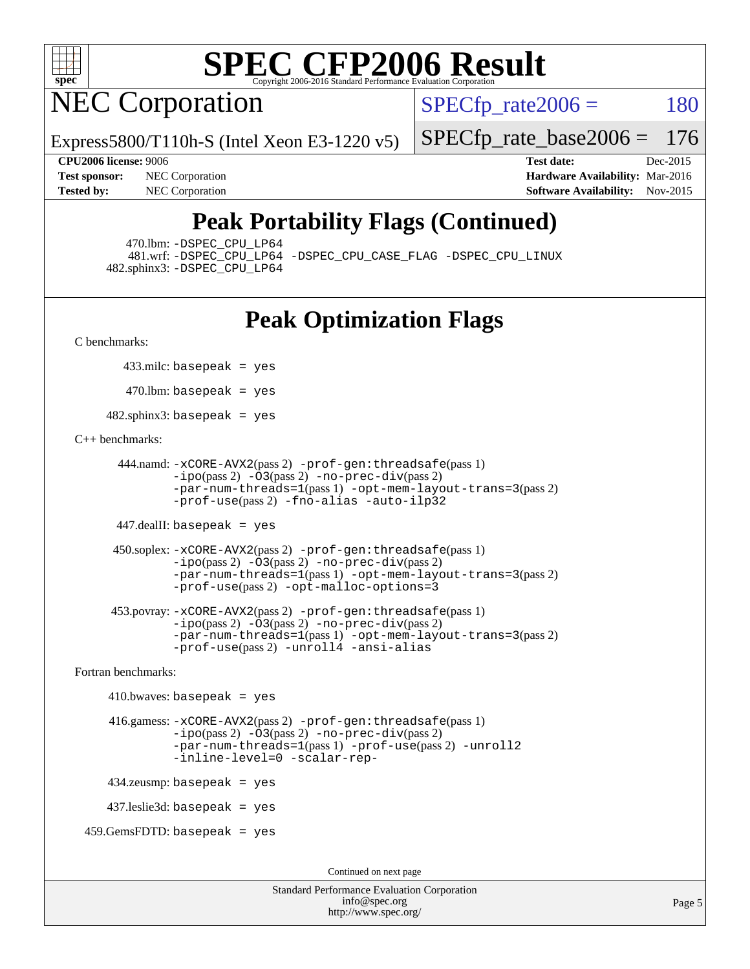

## **NEC Corporation**

 $SPECTp\_rate2006 = 180$ 

Express5800/T110h-S (Intel Xeon E3-1220 v5)

**[Tested by:](http://www.spec.org/auto/cpu2006/Docs/result-fields.html#Testedby)** NEC Corporation **[Software Availability:](http://www.spec.org/auto/cpu2006/Docs/result-fields.html#SoftwareAvailability)** Nov-2015

**[CPU2006 license:](http://www.spec.org/auto/cpu2006/Docs/result-fields.html#CPU2006license)** 9006 **[Test date:](http://www.spec.org/auto/cpu2006/Docs/result-fields.html#Testdate)** Dec-2015 **[Test sponsor:](http://www.spec.org/auto/cpu2006/Docs/result-fields.html#Testsponsor)** NEC Corporation **NEC Corporation [Hardware Availability:](http://www.spec.org/auto/cpu2006/Docs/result-fields.html#HardwareAvailability)** Mar-2016

[SPECfp\\_rate\\_base2006 =](http://www.spec.org/auto/cpu2006/Docs/result-fields.html#SPECfpratebase2006) 176

## **[Peak Portability Flags \(Continued\)](http://www.spec.org/auto/cpu2006/Docs/result-fields.html#PeakPortabilityFlags)**

470.lbm: [-DSPEC\\_CPU\\_LP64](http://www.spec.org/cpu2006/results/res2016q1/cpu2006-20160125-38927.flags.html#suite_peakPORTABILITY470_lbm_DSPEC_CPU_LP64)

 481.wrf: [-DSPEC\\_CPU\\_LP64](http://www.spec.org/cpu2006/results/res2016q1/cpu2006-20160125-38927.flags.html#suite_peakPORTABILITY481_wrf_DSPEC_CPU_LP64) [-DSPEC\\_CPU\\_CASE\\_FLAG](http://www.spec.org/cpu2006/results/res2016q1/cpu2006-20160125-38927.flags.html#b481.wrf_peakCPORTABILITY_DSPEC_CPU_CASE_FLAG) [-DSPEC\\_CPU\\_LINUX](http://www.spec.org/cpu2006/results/res2016q1/cpu2006-20160125-38927.flags.html#b481.wrf_peakCPORTABILITY_DSPEC_CPU_LINUX) 482.sphinx3: [-DSPEC\\_CPU\\_LP64](http://www.spec.org/cpu2006/results/res2016q1/cpu2006-20160125-38927.flags.html#suite_peakPORTABILITY482_sphinx3_DSPEC_CPU_LP64)

## **[Peak Optimization Flags](http://www.spec.org/auto/cpu2006/Docs/result-fields.html#PeakOptimizationFlags)**

[C benchmarks](http://www.spec.org/auto/cpu2006/Docs/result-fields.html#Cbenchmarks):

433.milc: basepeak = yes

 $470$ .lbm: basepeak = yes

482.sphinx3: basepeak = yes

#### [C++ benchmarks:](http://www.spec.org/auto/cpu2006/Docs/result-fields.html#CXXbenchmarks)

```
 444.namd: -xCORE-AVX2(pass 2) -prof-gen:threadsafe(pass 1)
        -ipo(pass 2) -O3(pass 2) -no-prec-div(pass 2)
        -par-num-threads=1(pass 1) -opt-mem-layout-trans=3(pass 2)
        -prof-use(pass 2) -fno-alias -auto-ilp32
```
447.dealII: basepeak = yes

```
 450.soplex: -xCORE-AVX2(pass 2) -prof-gen:threadsafe(pass 1)
         -ipo(pass 2) -O3(pass 2) -no-prec-div(pass 2)
         -par-num-threads=1(pass 1) -opt-mem-layout-trans=3(pass 2)
         -prof-use(pass 2) -opt-malloc-options=3
```

```
 453.povray: -xCORE-AVX2(pass 2) -prof-gen:threadsafe(pass 1)
        -no-prec-div(pass 2)-par-num-threads=1(pass 1) -opt-mem-layout-trans=3(pass 2)
        -prof-use(pass 2) -unroll4 -ansi-alias
```
[Fortran benchmarks](http://www.spec.org/auto/cpu2006/Docs/result-fields.html#Fortranbenchmarks):

```
410.bwaves: basepeak = yes 416.gamess: -xCORE-AVX2(pass 2) -prof-gen:threadsafe(pass 1)
              -i\text{po}(pass 2) -\overline{O}3(pass 2)-no-prec-div(pass 2)
              -par-num-threads=1(pass 1) -prof-use(pass 2) -unroll2
              -inline-level=0 -scalar-rep-
    434.zeusmp: basepeak = yes
    437.leslie3d: basepeak = yes
459.GemsFDTD: basepeak = yes
```
Continued on next page